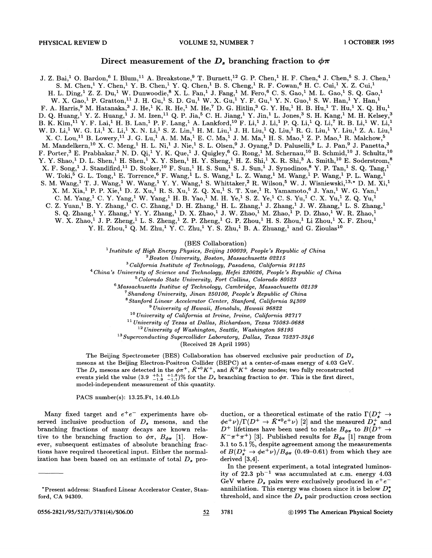## Direct measurement of the  $D_s$  branching fraction to  $\phi \pi$

J. Z. Bai,<sup>1</sup> O. Bardon,<sup>6</sup> I. Blum,<sup>11</sup> A. Breakstone,<sup>9</sup> T. Burnett,<sup>12</sup> G. P. Chen,<sup>1</sup> H. F. Chen,<sup>4</sup> J. Chen,<sup>5</sup> S. J. Chen,<sup>1</sup> S. M. Chen, <sup>1</sup> Y. Chen, <sup>1</sup> Y. B. Chen, <sup>1</sup> Y. Q. Chen, <sup>1</sup> B. S. Cheng, <sup>1</sup> R. F. Cowan, <sup>6</sup> H. C. Cui, <sup>1</sup> X. Z. Cui, <sup>1</sup> H. L. Ding, $^1$  Z. Z. Du, $^1$  W. Dunwoodie, $^8$  X. L. Fan, $^1$  J. Fang, $^1$  M. Fero, $^6$  C. S. Gao, $^1$  M. L. Gao, $^1$  S. Q. Gao, $^1$ W. X. Gao,<sup>1</sup> P. Gratton,<sup>11</sup> J. H. Gu,<sup>1</sup> S. D. Gu,<sup>1</sup> W. X. Gu,<sup>1</sup> Y. F. Gu,<sup>1</sup> Y. N. Guo,<sup>1</sup> S. W. Han,<sup>1</sup> Y. Han,<sup>1</sup> F. A. Harris, $^9$  M. Hatanaka, $^3$  J. He, $^1$  K. R. He, $^1$  M. He, $^7$  D. G. Hitlin, $^3$  G. Y. Hu, $^1$  H. B. Hu, $^1$  T. Hu, $^1$  X. Q. Hu, $^1$ D. Q. Huang,<sup>1</sup> Y. Z. Huang,<sup>1</sup> J. M. Izen,<sup>11</sup> Q. P. Jia,<sup>5</sup> C. H. Jiang,<sup>1</sup> Y. Jin,<sup>1</sup> L. Jones,<sup>3</sup> S. H. Kang,<sup>1</sup> M. H. Kelsey,<sup>3</sup> B. K. Kim, $^{11}$  Y. F. Lai, $^1$  H. B. Lan, $^1$  P. F. Lang, $^1$  A. Lankford, $^{10}$  F. Li, $^1$  J. Li, $^1$  P. Q. Li, $^1$  Q. Li, $^7$  R. B. Li, $^1$  W. Li, $^1$ W. D. Li,<sup>1</sup> W. G. Li,<sup>1</sup> X. Li,<sup>1</sup> X. N. Li,<sup>1</sup> S. Z. Lin,<sup>1</sup> H. M. Liu,<sup>1</sup> J. H. Liu,<sup>1</sup> Q. Liu,<sup>1</sup> R. G. Liu,<sup>1</sup> Y. Liu,<sup>1</sup> Z. A. Liu,<sup>1</sup> X. C. Lou, $^{11}$  B. Lowery, $^{11}$  J. G. Lu, $^{1}$  A. M. Ma, $^{1}$  E. C. Ma, $^{1}$  J. M. Ma, $^{1}$  H. S. Mao, $^{1}$  Z. P. Mao, $^{1}$  R. Malchow, $^{5}$ M. Mandelkern, $^{10}$  X. C. Meng, $^{1}$  H. L. Ni, $^{1}$  J. Nie, $^{1}$  S. L. Olsen, $^{9}$  J. Oyang, $^{3}$  D. Paluselli, $^{9}$  L. J. Pan, $^{9}$  J. Panetta, $^{3}$ F. Porter,<sup>3</sup> E. Prabhakar,<sup>3</sup> N.D. Qi,<sup>1</sup> Y.K. Que,<sup>1</sup> J. Quigley,<sup>6</sup> G. Rong,<sup>1</sup> M. Schernau,<sup>10</sup> B. Schmid,<sup>10</sup> J. Schultz,<sup>10</sup>  $Y. Y.$  Shao, $^1$  D. L. Shen, $^1$  H. Shen, $^1$  X. Y. Shen, $^1$  H. Y. Sheng, $^1$  H. Z. Shi, $^1$  X. R. Shi, $^3$  A. Smith, $^{10}$  E. Soderstrom, $^8$  $X.$  F. Song,<sup>1</sup> J. Standifird,<sup>11</sup> D. Stoker,<sup>10</sup> F. Sun,<sup>1</sup> H. S. Sun,<sup>1</sup> S. J. Sun,<sup>1</sup> J. Synodinos,<sup>8</sup> Y. P. Tan,<sup>1</sup> S. Q. Tang,<sup>1</sup> W. Toki,  $^5$  G. L. Tong,  $^1$  E. Torrence,  $^6$  F. Wang,  $^1$  L. S. Wang,  $^1$  L. Z. Wang,  $^1$  M. Wang,  $^1$  P. Wang,  $^1$  P. L. Wang,  $^1$ S. M. Wang, <sup>1</sup> T. J. Wang, <sup>1</sup> W. Wang, <sup>1</sup> Y. Y. Wang, <sup>1</sup> S. Whittaker, <sup>2</sup> R. Wilson, <sup>5</sup> W. J. Wisniewski, <sup>13,\*</sup> D. M. Xi, <sup>1</sup> X. M. Xia,<sup>1</sup> P. P. Xie, <sup>1</sup> D. Z. Xu, <sup>1</sup> R. S. Xu, <sup>1</sup> Z. Q. Xu, <sup>1</sup> S. T. Xue, <sup>1</sup> R. Yamamoto, <sup>6</sup> J. Yan, <sup>1</sup> W. G. Yan, <sup>1</sup> C. M. Yang,<sup>1</sup> C. Y. Yang,<sup>1</sup> W. Yang,<sup>1</sup> H. B. Yao,<sup>1</sup> M. H. Ye,<sup>1</sup> S. Z. Ye,<sup>1</sup> C. S. Yu,<sup>1</sup> C. X. Yu,<sup>1</sup> Z. Q. Yu,<sup>1</sup> C. Z. Yuan,<sup>1</sup> B. Y. Zhang,<sup>1</sup> C. C. Zhang,<sup>1</sup> D. H. Zhang,<sup>1</sup> H. L. Zhang,<sup>1</sup> J. Zhang,<sup>1</sup> J. W. Zhang,<sup>1</sup> L. S. Zhang,<sup>1</sup> C. Z. Yuan,  $\overset{S}{B}$ , Y. Zhang,  $\overset{S}{I}$  C. C. Zhang,  $\overset{1}{1}$  D. H. Zhang,  $\overset{1}{1}$  H. L. Zhang,  $\overset{1}{1}$  J. Zhang,  $\overset{1}{1}$  J. W. Zhang,  $\overset{1}{1}$  L. S. Zhang,  $\overset{1}{1}$  S.  $\overset{S}{2}$  Zhang,  $\overset{1}{1}$  Y. W. X. Zhao,<sup>1</sup> J. P. Zheng,<sup>1</sup> L. S. Zheng,<sup>1</sup> Z. P. Zheng,<sup>1</sup> G. P. Zhou,<sup>1</sup> H. S. Zhou,<sup>1</sup> Li Zhou,<sup>1</sup> X. F. Zhou,<sup>1</sup>

Y. H. Zhou,<sup>1</sup> Q. M. Zhu,<sup>1</sup> Y. C. Zhu,<sup>1</sup> Y. S. Zhu,<sup>1</sup> B. A. Zhuang,<sup>1</sup> and G. Zioulas<sup>10</sup>

(BES Collaboration) 1 *Institute of High Energy Physics, Beijing 100039, People's Republic of China* 

2 *Boston University, Boston, Massachusetts 02215* 

<sup>3</sup>*California Institute of Technology, Pasadena, California 91125* 

<sup>4</sup> *China's University of Science and Technology, Hefei 230026, People's Republic of China* 

<sup>5</sup>*Colorado State University, Fort Collins, Colorado 80523* 

 $6$ Massachusetts Institue of Technology, Cambridge, Massachusetts 02139

7 *Shandong University, Jinan 250100, People's Republic of China* 

<sup>8</sup>*Stanford Linear Accelerator Center, Stanford, California 94309* 

<sup>9</sup>*University of Hawaii, Honolulu, Hawaii 96822* 

<sup>10</sup>*University of California at Irvine, Irvine, California 92717* 

<sup>11</sup>*University of Texas at Dallas, Richardson, Texas 75083-0688* 

<sup>12</sup>*University of Washington, Seattle, Washington 98195* 

13 *Superconducting Supercollider Laboratory, Dallas, Texas 75237-3946* 

. (Received 28 April 1995)

The Beijing Spectrometer (BES) Collaboration has observed exclusive pair production of *Ds*  mesons at the Beijing Electron-Positron Collider (BEPC) at a center-of-mass energy of 4.03 GeV. The *D<sub>s</sub>* mesons are detected in the  $\phi \pi^{+}$ ,  $\bar{K}^{*0} K^{+}$ , and  $\bar{K}^{0} K^{+}$  decay modes; two fully reconstructed events yield the value  $(3.9 \tbinom{+5.1}{-1.9} \tbinom{+1.8}{-1.1})\%$  for the  $D_s$  branching fraction to  $\phi\pi$ . This is the first direct, model-independent measurement of this quantity.

PACS number(s): 13.25.Ft, 14.40.Lb

Many fixed target and  $e^+e^-$  experiments have observed inclusive production of  $D_s$  mesons, and the branching fractions of many decays are known relative to the branching fraction to  $\phi \pi$ ,  $B_{\phi \pi}$  [1]. However, subsequent estimates of absolute branching fractions have required theoretical input. Either the normalization has been based on an estimate of total  $D_s$  pro-

duction, or a theoretical estimate of the ratio  $\Gamma(D^+_{\rm s} \rightarrow$  $\phi e^+ \nu$ / $\Gamma(D^+ \to \bar{K}^{*0} e^+ \nu)$  [2] and the measured  $D_s^+$  and  $D^+$  lifetimes have been used to relate  $B_{\phi\pi}$  to  $B(D^+ \rightarrow$  $K^-\pi^+\pi^+$ ) [3]. Published results for  $B_{\phi\pi}$  [1] range from 3.1 to 5.1 %, despite agreement among the measurements of  $B(D_s^+ \to \phi e^+ \nu)/B_{\phi\pi}$  (0.49-0.61) from which they are derived [3,4].

In the present experiment, a total integrated luminosity of  $22.3$   $pb^{-1}$  was accumulated at c.m. energy  $4.03$ GeV where  $D_s$  pairs were exclusively produced in  $e^+e^$ annihilation. This energy was chosen since it is below  $D_s^*$ threshold, and since the  $D_s$  pair production cross section

<sup>\*</sup>Present address: Stanford Linear Accelerator Center, Stanford, CA 94309.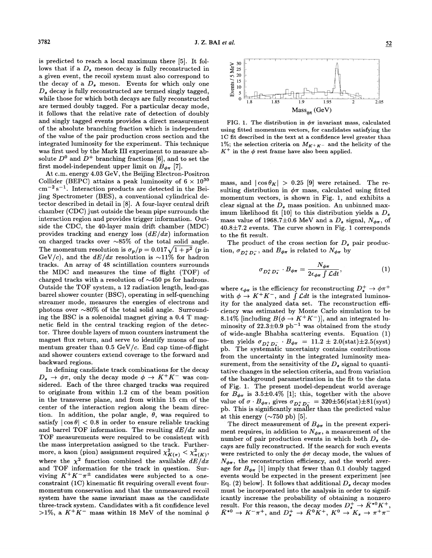is predicted to reach a local maximum there (5]. It follows that if a  $D_s$  meson decay is fully reconstructed in a given event, the recoil system must also correspond to the decay of a  $D_s$  meson. Events for which only one  $D_{s}$  decay is fully reconstructed are termed singly tagged, while those for which both decays are fully reconstructed are termed doubly tagged. For a particular decay mode, it follows that the relative rate of detection of doubly and singly tagged events provides a direct measurement of the absolute branching fraction which is independent of the value of the pair production cross section and the integrated luminosity for the experiment. This technique was first used by the Mark III experiment to measure absolute  $D^0$  and  $D^+$  branching fractions [6], and to set the first model-independent upper limit on  $B_{\phi\pi}$  [7].

At c.m. energy 4.03 GeV, the Beijing Electron-Positron Collider (BEPC) attains a peak luminosity of  $6 \times 10^{30}$  $\text{cm}^{-2} \text{ s}^{-1}$ . Interaction products are detected in the Beijing Spectrometer (BES), a conventional cylindrical detector described in detail in (8]. A four-layer central drift chamber (CDC) just outside the beam pipe surrounds the interaction region and provides trigger information. Outside the CDC, the 40-layer main drift chamber (MDC) provides tracking and energy loss  $(dE/dx)$  information on charged tracks over  $\sim85\%$  of the total solid angle. The momentum resolution is  $\sigma_p/p = 0.017\sqrt{1 + p^2}$  (p in GeV/c), and the  $dE/dx$  resolution is  $\sim$ 11% for hadron tracks. An array of 48 scintillation counters surrounds the MDC and measures the time of Hight (TOF) of charged tracks with a resolution of  $\sim$ 450 ps for hadrons. Outside the TOF system, a 12 radiation length, lead-gas barrel shower counter (BSC), operating in self-quenching streamer mode, measures the energies of electrons and photons over  $\sim80\%$  of the total solid angle. Surrounding the BSC is a solenoidal magnet giving a 0.4 T magnetic field in the central tracking region of the detector. Three double layers of muon counters instrument the magnet flux return, and serve to identify muons of momentum greater than  $0.5 \text{ GeV}/c$ . End cap time-of-flight and shower counters extend coverage to the forward and backward regions.

In defining candidate track combinations for the decay  $D_s \rightarrow \phi \pi$ , only the decay mode  $\phi \rightarrow K^+ K^-$  was considered. Each of the three charged tracks was required to originate from within 1.2 em of the beam position in the transverse plane, and from within 15 em of the center of the interaction region along the beam direction. In addition, the polar angle,  $\theta$ , was required to satisfy  $|\cos \theta|$  < 0.8 in order to ensure reliable tracking and barrel TOF information. The resulting  $dE/dx$  and TOF measurements were required to be consistent with the mass interpretation assigned to the track. Furthermore, a kaon (pion) assignment required  $\chi^2_{K(\pi)} < \chi^2_{\pi(K)}$ , where the  $\chi^2$  function combined the available  $dE/dx$ and TOF information for the track in question. Surviving  $K^+ K^- \pi^{\pm}$  candidates were subjected to a oneconstraint (1C) kinematic fit requiring overall event fourmomentum conservation and that the unmeasured recoil system have the same invariant mass as the candidate three-track system. Candidates with a fit confidence level >1%, a  $K^+K^-$  mass within 18 MeV of the nominal  $\phi$ 



FIG. 1. The distribution in  $\phi\pi$  invariant mass, calculated using fitted momentum vectors, for candidates satisfying the lC fit described in the text at a confidence level greater than 1%; the selection criteria on  $M_{K^+K^-}$  and the helicity of the  $K^+$  in the  $\phi$  rest frame have also been applied.

mass, and  $|\cos \theta_K| > 0.25$  [9] were retained. The resulting distribution in  $\phi\pi$  mass, calculated using fitted momentum vectors, is shown in Fig. 1, and exhibits a clear signal at the  $D_s$  mass position. An unbinned maximum likelihood fit [10] to this distribution yields a  $D_s$ mass value of 1968.7 $\pm$ 0.6 MeV and a  $D_s$  signal,  $N_{\phi\pi}$ , of 40.8±7.2 events. The curve shown in Fig. 1 corresponds to the fit result.

The product of the cross section for  $D_s$  pair production,  $\sigma_{D_{\tau}^{+}D_{\tau}^{-}}$ , and  $B_{\phi\pi}$  is related to  $N_{\phi\pi}$  by

$$
\sigma_{D_s^+ D_s^-} \cdot B_{\phi \pi} = \frac{N_{\phi \pi}}{2 \epsilon_{\phi \pi} \int \mathcal{L} dt},\tag{1}
$$

where  $\epsilon_{\phi\pi}$  is the efficiency for reconstructing  $D_s^+ \rightarrow \phi \pi^+$ with  $\phi \to K^+ K^-$ , and  $\int \mathcal{L} dt$  is the integrated luminosity for the analyzed data set. The reconstruction efficiency was estimated by Monte Carlo simulation to be 8.14% [including  $B(\phi \to K^+ K^-)$ ], and an integrated luminosity of  $22.3\pm0.9$  pb<sup>-1</sup> was obtained from the study of wide-angle Bhabha scattering events. Equation (1) then yields  $\sigma_{D_{\tau}^{+}D_{\tau}^{-}} \cdot B_{\phi\pi} = 11.2 \pm 2.0 (\text{stat}) \pm 2.5 (\text{syst})$ ph. The systematic uncertainty contains contributions from the uncertainty in the integrated luminosity measurement, from the sensitivity of the  $D_s$  signal to quantitative changes in the selection criteria, and from variation of the background parametrization in the fit to the data of Fig. 1. The present model-dependent world average for  $B_{\phi\pi}$  is 3.5±0.4% [1]; this, together with the above value of  $\sigma \cdot B_{\phi\pi}$ , gives  $\sigma_{D_{\phi}^+D_{\phi}^-} = 320 \pm 56 \text{(stat)} \pm 81 \text{(syst)}$ ph. This is significantly smaller than the predicted value at this energy  $(\sim 750 \text{ pb})$  [5].

The direct measurement of  $B_{\phi\pi}$  in the present experiment requires, in addition to  $N_{\phi\pi}$ , a measurement of the number of pair production events in which both  $D_s$  decays are fully reconstructed. If the search for such events were restricted to only the  $\phi\pi$  decay mode, the values of  $N_{\phi\pi}$ , the reconstruction efficiency, and the world average for  $B_{\phi\pi}$  [1] imply that fewer than 0.1 doubly tagged events would be expected in the present experiment [see Eq. (2) below]. It follows that additional  $D_s$  decay modes must be incorporated into the analysis in order to significantly increase the probability of obtaining a nonzero result. For this reason, the decay modes  $D_s^+ \rightarrow \bar{K}^{*0} K^+$ ,  $\overline{K}^{*0} \to K^-\pi^+$ , and  $D_s^+ \to \overline{K}^0 K^+$ ,  $K^0 \to K_s \to \pi^+\pi^-$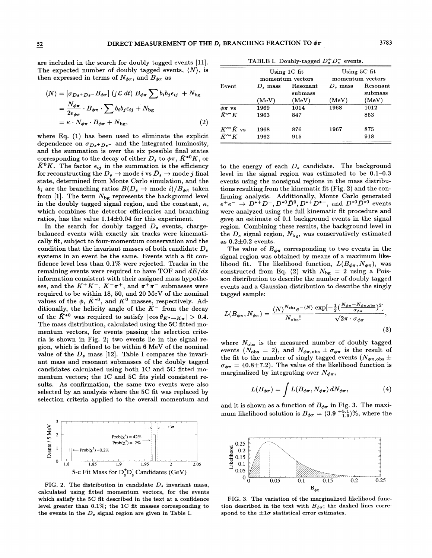are included in the search for doubly tagged events [11]. The expected number of doubly tagged events,  $\langle N \rangle$ , is then expressed in terms of  $N_{\phi\pi}$ , and  $B_{\phi\pi}$  as

$$
\langle N \rangle = [\sigma_{Ds^+Ds^-} B_{\phi\pi}] \left( \int \mathcal{L} dt \right) B_{\phi\pi} \sum b_i b_j \epsilon_{ij} + N_{\text{bg}}
$$
  
= 
$$
\frac{N_{\phi\pi}}{2\epsilon_{\phi\pi}} \cdot B_{\phi\pi} \cdot \sum b_i b_j \epsilon_{ij} + N_{\text{bg}}
$$
  
= 
$$
\kappa \cdot N_{\phi\pi} \cdot B_{\phi\pi} + N_{\text{bg}},
$$
 (2)

where Eq. (1) has been used to eliminate the explicit dependence on  $\sigma_{Ds+Ds}$ - and the integrated luminosity, and the summation is over the six possible final states corresponding to the decay of either  $D_s$  to  $\phi\pi,$   $\bar{K}^{*0}K,$  or  $\bar{K}^0 K$ . The factor  $\epsilon_{ij}$  in the summation is the efficiency for reconstructing the  $D_s \to \text{mode } i$  vs  $\bar{D}_s \to \text{mode } j$  final state, determined from Monte Carlo simulation, and the  $b_i$  are the branching ratios  $B(D_s \to \text{mode } i)/B_{\phi\pi}$  taken from [1]. The term  $N_{\text{bg}}$  represents the background level in the doubly tagged signal region, and the constant,  $\kappa$ , which combines the detector efficiencies and branching ratios, has the value  $1.14\pm0.04$  for this experiment.

In the search for doubly tagged  $D_s$  events, chargebalanced events with exactly six tracks were kinematically fit, subject to four-momentum conservation and the condition that the invariant masses of both candidate  $D_s$ systems in an event be the same. Events with a fit confidence level less than 0.1% were rejected. Tracks in the remaining events were required to have TOF and  $dE/dx$ information consistent with their assigned mass hypotheses, and the  $K^+K^-$ ,  $K^-\pi^+$ , and  $\pi^+\pi^-$  submasses were required to be within 18, 50, and 20 MeV of the nominal values of the  $\phi$ ,  $\bar{K}^{*0}$ , and  $\bar{K}^0$  masses, respectively. Additionally, the helicity angle of the  $K^-$  from the decay of the  $\bar{K}^{*0}$  was required to satisfy  $|\cos \theta_{K^* \to K\pi}| > 0.4$ . The mass distribution, calculated using the 5C fitted momentum vectors, for events passing the selection criteria is shown in Fig. 2; two events lie in the signal region, which is defined to be within 6 MeV of the nominal value of the  $D_s$  mass [12]. Table I compares the invariant mass and resonant submasses of the doubly tagged candidates calculated using both 1C and 5C fitted momentum vectors; the 1C and 5C fits yield consistent results. As confirmation, the same two events were also selected by an analysis where the 5C fit was replaced by selection criteria applied to the overall momentum and



FIG. 2. The distribution in candidate  $D_s$  invariant mass, calculated using fitted momentum vectors, for the events which satisfy the 5C fit described in the text at a confidence level greater than 0.1%; the 1C fit masses corresponding to the events in the  $D_s$  signal region are given in Table I.

TABLE I. Doubly-tagged  $D_s^+D_s^-$  events.

|                    |                                    | --                  |                                  |                     |
|--------------------|------------------------------------|---------------------|----------------------------------|---------------------|
|                    | Using $1C$ fit<br>momentum vectors |                     | Using 5C fit<br>momentum vectors |                     |
| Event              | $D_s$ mass                         | Resonant<br>submass | $D_{\rm s}$ mass                 | Resonant<br>submass |
|                    | (MeV)                              | (MeV)               | (MeV)                            | (MeV)               |
| $\phi \pi$ vs      | 1969                               | 1014                | 1968                             | 1012                |
| $\bar K^{o*}K$     | 1963                               | 847                 |                                  | 853                 |
| $K^{o*}\bar{K}$ vs | 1968                               | 876                 | 1967                             | 875                 |
| $\bar{K}^{o*}K$    | 1962                               | 915                 |                                  | 918                 |

to the energy of each  $D_s$  candidate. The background level in the signal region was estimated to be 0.1-0.3 events using the nonsignal regions in the mass distributions resulting from the kinematic fit (Fig. 2) and the confirming analysis. Additionally, Monte Carlo generated  $e^+e^- \rightarrow D^{*+}D^-, D^{*0}\bar{D}^0, D^{*+}D^{*-}$ , and  $D^{*0}\bar{D}^{*0}$  events were analyzed using the full kinematic fit procedure and gave an estimate of 0.1 background events in the signal region. Combining these results, the background level in the  $D_s$  signal region,  $N_{\text{bg}}$ , was conservatively estimated as  $0.2 \pm 0.2$  events.

The value of  $B_{\phi\pi}$  corresponding to two events in the signal region was obtained by means of a maximum likelihood fit. The likelihood function,  $L(B_{\phi\pi}, N_{\phi\pi})$ , was constructed from Eq. (2) with  $N_{\text{bg}} = 2$  using a Poisson distribution to describe the number of doubly tagged events and a Gaussian distribution to describe the singly tagged sample:

$$
L(B_{\phi\pi}, N_{\phi\pi}) = \frac{\langle N \rangle^{N_{\text{obs}}} e^{-\langle N \rangle} \exp[-\frac{1}{2} (\frac{N_{\phi\pi} - N_{\phi\pi, \text{obs}}}{\sigma_{\phi\pi}})^2]}{N_{\text{obs}}!},
$$
\n(3)

where  $N_{\text{obs}}$  is the measured number of doubly tagged events ( $N_{\text{obs}} = 2$ ), and  $N_{\phi\pi,\text{obs}} \pm \sigma_{\phi\pi}$  is the result of the fit to the number of singly tagged events ( $N_{\phi\pi,obs}$  ±  $\sigma_{\phi\pi} = 40.8 \pm 7.2$ . The value of the likelihood function is marginalized by integrating over  $N_{\phi\pi}$ ,

$$
L(B_{\phi\pi}) = \int L(B_{\phi\pi}, N_{\phi\pi}) \, dN_{\phi\pi}, \tag{4}
$$

and it is shown as a function of  $B_{\phi\pi}$  in Fig. 3. The maximum likelihood solution is  $B_{\phi\pi} = (3.9 \pm 5.1)$ %, where the



FIG. 3. The variation of the marginalized likelihood function described in the text with  $B_{\phi\pi}$ ; the dashed lines correspond to the  $\pm 1\sigma$  statistical error estimates.